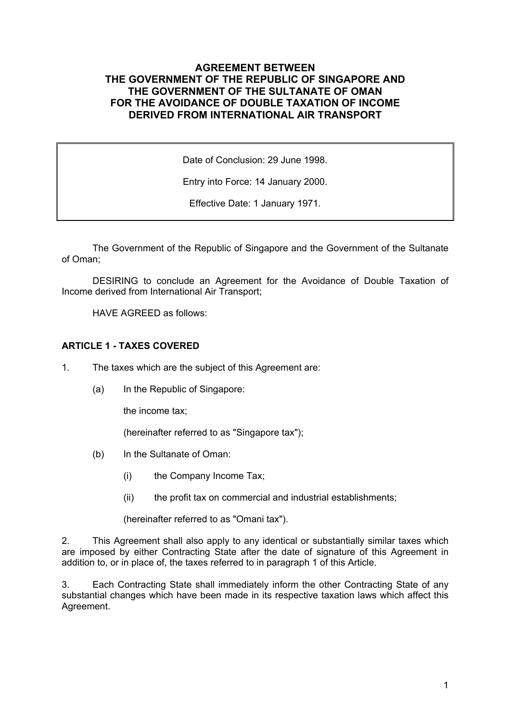## **AGREEMENT BETWEEN THE GOVERNMENT OF THE REPUBLIC OF SINGAPORE AND THE GOVERNMENT OF THE SULTANATE OF OMAN FOR THE AVOIDANCE OF DOUBLE TAXATION OF INCOME DERIVED FROM INTERNATIONAL AIR TRANSPORT**

Date of Conclusion: 29 June 1998.

Entry into Force: 14 January 2000.

Effective Date: 1 January 1971.

The Government of the Republic of Singapore and the Government of the Sultanate of Oman;

DESIRING to conclude an Agreement for the Avoidance of Double Taxation of Income derived from International Air Transport;

HAVE AGREED as follows:

### **ARTICLE 1 - TAXES COVERED**

- 1. The taxes which are the subject of this Agreement are:
	- (a) In the Republic of Singapore:

the income tax;

(hereinafter referred to as "Singapore tax");

- (b) In the Sultanate of Oman:
	- (i) the Company Income Tax;
	- (ii) the profit tax on commercial and industrial establishments;

(hereinafter referred to as "Omani tax").

2. This Agreement shall also apply to any identical or substantially similar taxes which are imposed by either Contracting State after the date of signature of this Agreement in addition to, or in place of, the taxes referred to in paragraph 1 of this Article.

3. Each Contracting State shall immediately inform the other Contracting State of any substantial changes which have been made in its respective taxation laws which affect this Agreement.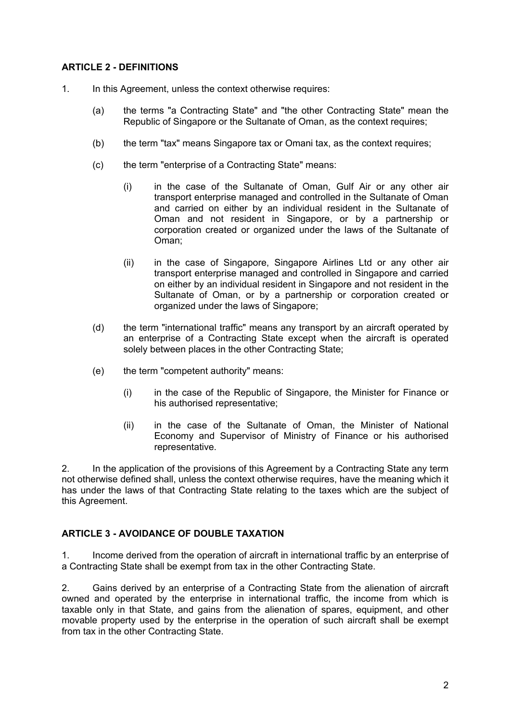## **ARTICLE 2 - DEFINITIONS**

- 1. In this Agreement, unless the context otherwise requires:
	- (a) the terms "a Contracting State" and "the other Contracting State" mean the Republic of Singapore or the Sultanate of Oman, as the context requires;
	- (b) the term "tax" means Singapore tax or Omani tax, as the context requires;
	- (c) the term "enterprise of a Contracting State" means:
		- (i) in the case of the Sultanate of Oman, Gulf Air or any other air transport enterprise managed and controlled in the Sultanate of Oman and carried on either by an individual resident in the Sultanate of Oman and not resident in Singapore, or by a partnership or corporation created or organized under the laws of the Sultanate of Oman;
		- (ii) in the case of Singapore, Singapore Airlines Ltd or any other air transport enterprise managed and controlled in Singapore and carried on either by an individual resident in Singapore and not resident in the Sultanate of Oman, or by a partnership or corporation created or organized under the laws of Singapore;
	- (d) the term "international traffic" means any transport by an aircraft operated by an enterprise of a Contracting State except when the aircraft is operated solely between places in the other Contracting State;
	- (e) the term "competent authority" means:
		- (i) in the case of the Republic of Singapore, the Minister for Finance or his authorised representative;
		- (ii) in the case of the Sultanate of Oman, the Minister of National Economy and Supervisor of Ministry of Finance or his authorised representative.

2. In the application of the provisions of this Agreement by a Contracting State any term not otherwise defined shall, unless the context otherwise requires, have the meaning which it has under the laws of that Contracting State relating to the taxes which are the subject of this Agreement.

### **ARTICLE 3 - AVOIDANCE OF DOUBLE TAXATION**

1. Income derived from the operation of aircraft in international traffic by an enterprise of a Contracting State shall be exempt from tax in the other Contracting State.

2. Gains derived by an enterprise of a Contracting State from the alienation of aircraft owned and operated by the enterprise in international traffic, the income from which is taxable only in that State, and gains from the alienation of spares, equipment, and other movable property used by the enterprise in the operation of such aircraft shall be exempt from tax in the other Contracting State.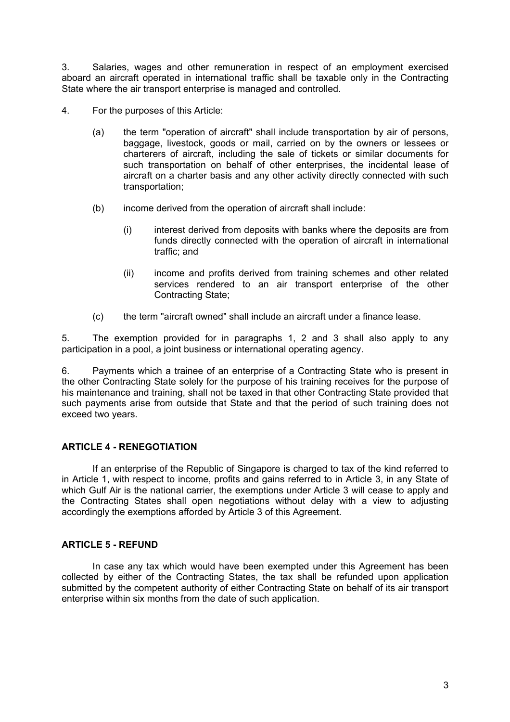3. Salaries, wages and other remuneration in respect of an employment exercised aboard an aircraft operated in international traffic shall be taxable only in the Contracting State where the air transport enterprise is managed and controlled.

- 4. For the purposes of this Article:
	- (a) the term "operation of aircraft" shall include transportation by air of persons, baggage, livestock, goods or mail, carried on by the owners or lessees or charterers of aircraft, including the sale of tickets or similar documents for such transportation on behalf of other enterprises, the incidental lease of aircraft on a charter basis and any other activity directly connected with such transportation;
	- (b) income derived from the operation of aircraft shall include:
		- (i) interest derived from deposits with banks where the deposits are from funds directly connected with the operation of aircraft in international traffic; and
		- (ii) income and profits derived from training schemes and other related services rendered to an air transport enterprise of the other Contracting State;
	- (c) the term "aircraft owned" shall include an aircraft under a finance lease.

5. The exemption provided for in paragraphs 1, 2 and 3 shall also apply to any participation in a pool, a joint business or international operating agency.

6. Payments which a trainee of an enterprise of a Contracting State who is present in the other Contracting State solely for the purpose of his training receives for the purpose of his maintenance and training, shall not be taxed in that other Contracting State provided that such payments arise from outside that State and that the period of such training does not exceed two years.

# **ARTICLE 4 - RENEGOTIATION**

If an enterprise of the Republic of Singapore is charged to tax of the kind referred to in Article 1, with respect to income, profits and gains referred to in Article 3, in any State of which Gulf Air is the national carrier, the exemptions under Article 3 will cease to apply and the Contracting States shall open negotiations without delay with a view to adjusting accordingly the exemptions afforded by Article 3 of this Agreement.

## **ARTICLE 5 - REFUND**

In case any tax which would have been exempted under this Agreement has been collected by either of the Contracting States, the tax shall be refunded upon application submitted by the competent authority of either Contracting State on behalf of its air transport enterprise within six months from the date of such application.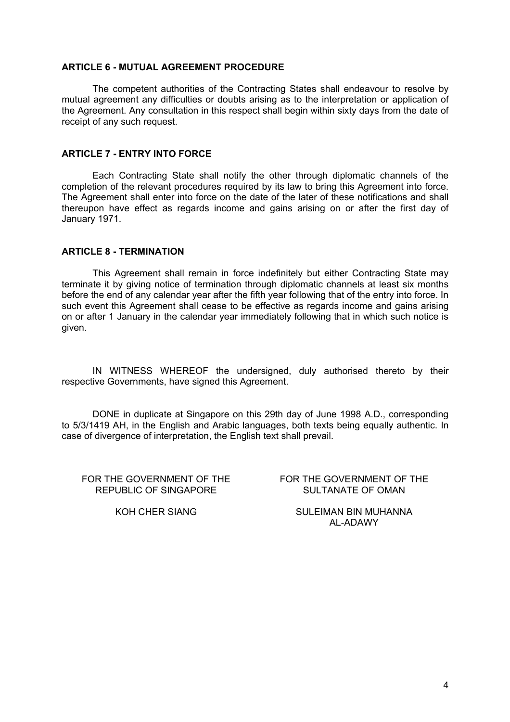#### **ARTICLE 6 - MUTUAL AGREEMENT PROCEDURE**

The competent authorities of the Contracting States shall endeavour to resolve by mutual agreement any difficulties or doubts arising as to the interpretation or application of the Agreement. Any consultation in this respect shall begin within sixty days from the date of receipt of any such request.

#### **ARTICLE 7 - ENTRY INTO FORCE**

Each Contracting State shall notify the other through diplomatic channels of the completion of the relevant procedures required by its law to bring this Agreement into force. The Agreement shall enter into force on the date of the later of these notifications and shall thereupon have effect as regards income and gains arising on or after the first day of January 1971.

### **ARTICLE 8 - TERMINATION**

This Agreement shall remain in force indefinitely but either Contracting State may terminate it by giving notice of termination through diplomatic channels at least six months before the end of any calendar year after the fifth year following that of the entry into force. In such event this Agreement shall cease to be effective as regards income and gains arising on or after 1 January in the calendar year immediately following that in which such notice is given.

IN WITNESS WHEREOF the undersigned, duly authorised thereto by their respective Governments, have signed this Agreement.

DONE in duplicate at Singapore on this 29th day of June 1998 A.D., corresponding to 5/3/1419 AH, in the English and Arabic languages, both texts being equally authentic. In case of divergence of interpretation, the English text shall prevail.

FOR THE GOVERNMENT OF THE REPUBLIC OF SINGAPORE

FOR THE GOVERNMENT OF THE SULTANATE OF OMAN

KOH CHER SIANG SULEIMAN BIN MUHANNA AL-ADAWY